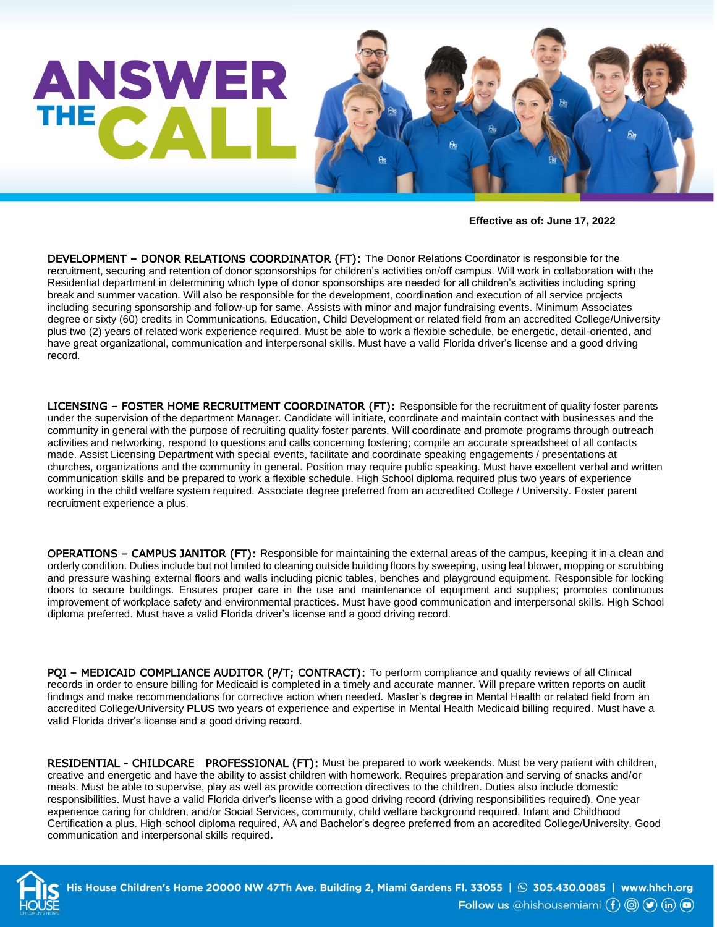

**Effective as of: June 17, 2022**

DEVELOPMENT – DONOR RELATIONS COORDINATOR (FT): The Donor Relations Coordinator is responsible for the recruitment, securing and retention of donor sponsorships for children's activities on/off campus. Will work in collaboration with the Residential department in determining which type of donor sponsorships are needed for all children's activities including spring break and summer vacation. Will also be responsible for the development, coordination and execution of all service projects including securing sponsorship and follow-up for same. Assists with minor and major fundraising events. Minimum Associates degree or sixty (60) credits in Communications, Education, Child Development or related field from an accredited College/University plus two (2) years of related work experience required. Must be able to work a flexible schedule, be energetic, detail-oriented, and have great organizational, communication and interpersonal skills. Must have a valid Florida driver's license and a good driving record.

LICENSING - FOSTER HOME RECRUITMENT COORDINATOR (FT): Responsible for the recruitment of quality foster parents under the supervision of the department Manager. Candidate will initiate, coordinate and maintain contact with businesses and the community in general with the purpose of recruiting quality foster parents. Will coordinate and promote programs through outreach activities and networking, respond to questions and calls concerning fostering; compile an accurate spreadsheet of all contacts made. Assist Licensing Department with special events, facilitate and coordinate speaking engagements / presentations at churches, organizations and the community in general. Position may require public speaking. Must have excellent verbal and written communication skills and be prepared to work a flexible schedule. High School diploma required plus two years of experience working in the child welfare system required. Associate degree preferred from an accredited College / University. Foster parent recruitment experience a plus.

OPERATIONS – CAMPUS JANITOR (FT): Responsible for maintaining the external areas of the campus, keeping it in a clean and orderly condition. Duties include but not limited to cleaning outside building floors by sweeping, using leaf blower, mopping or scrubbing and pressure washing external floors and walls including picnic tables, benches and playground equipment. Responsible for locking doors to secure buildings. Ensures proper care in the use and maintenance of equipment and supplies; promotes continuous improvement of workplace safety and environmental practices. Must have good communication and interpersonal skills. High School diploma preferred. Must have a valid Florida driver's license and a good driving record.

PQI - MEDICAID COMPLIANCE AUDITOR (P/T; CONTRACT): To perform compliance and quality reviews of all Clinical records in order to ensure billing for Medicaid is completed in a timely and accurate manner. Will prepare written reports on audit findings and make recommendations for corrective action when needed. Master's degree in Mental Health or related field from an accredited College/University **PLUS** two years of experience and expertise in Mental Health Medicaid billing required. Must have a valid Florida driver's license and a good driving record.

RESIDENTIAL - CHILDCARE PROFESSIONAL (FT): Must be prepared to work weekends. Must be very patient with children, creative and energetic and have the ability to assist children with homework. Requires preparation and serving of snacks and/or meals. Must be able to supervise, play as well as provide correction directives to the children. Duties also include domestic responsibilities. Must have a valid Florida driver's license with a good driving record (driving responsibilities required). One year experience caring for children, and/or Social Services, community, child welfare background required. Infant and Childhood Certification a plus. High-school diploma required, AA and Bachelor's degree preferred from an accredited College/University. Good communication and interpersonal skills required**.** 



His House Children's Home 20000 NW 47Th Ave. Building 2, Miami Gardens Fl. 33055 |  $\odot$  305.430.0085 | www.hhch.org Follow us @hishousemiami  $(f)$  ( $\circ$ ) (in) ( $\circ$ )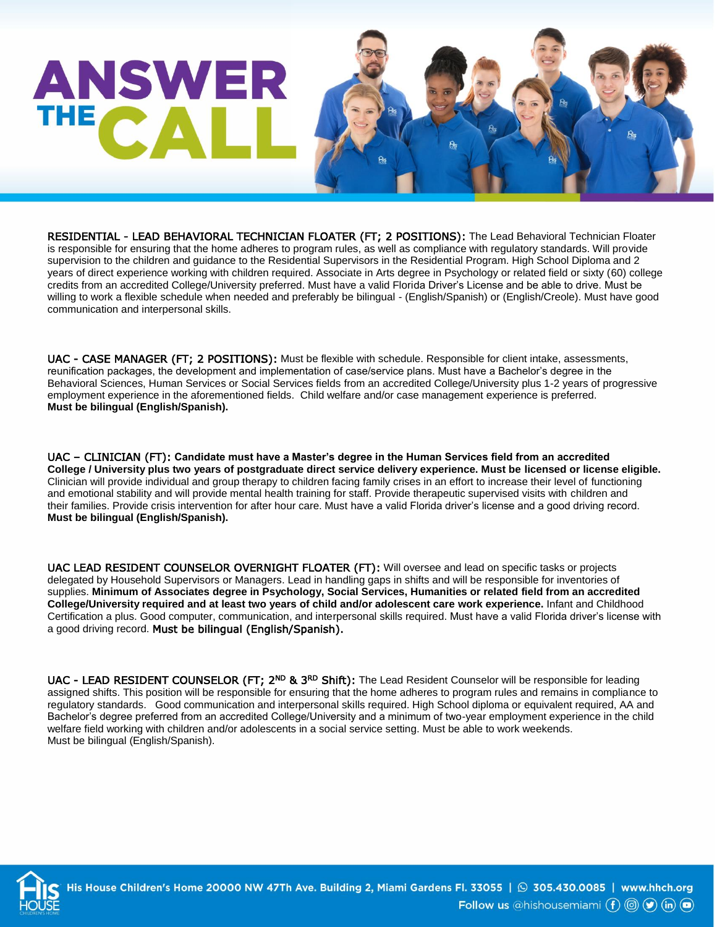## **ANSWER** THE<sub>2</sub>

RESIDENTIAL - LEAD BEHAVIORAL TECHNICIAN FLOATER (FT; 2 POSITIONS): The Lead Behavioral Technician Floater is responsible for ensuring that the home adheres to program rules, as well as compliance with regulatory standards. Will provide supervision to the children and guidance to the Residential Supervisors in the Residential Program. High School Diploma and 2 years of direct experience working with children required. Associate in Arts degree in Psychology or related field or sixty (60) college credits from an accredited College/University preferred. Must have a valid Florida Driver's License and be able to drive. Must be willing to work a flexible schedule when needed and preferably be bilingual - (English/Spanish) or (English/Creole). Must have good communication and interpersonal skills.

UAC - CASE MANAGER (FT; 2 POSITIONS): Must be flexible with schedule. Responsible for client intake, assessments, reunification packages, the development and implementation of case/service plans. Must have a Bachelor's degree in the Behavioral Sciences, Human Services or Social Services fields from an accredited College/University plus 1-2 years of progressive employment experience in the aforementioned fields. Child welfare and/or case management experience is preferred. **Must be bilingual (English/Spanish).** 

UAC – CLINICIAN (FT): **Candidate must have a Master's degree in the Human Services field from an accredited College / University plus two years of postgraduate direct service delivery experience. Must be licensed or license eligible.** Clinician will provide individual and group therapy to children facing family crises in an effort to increase their level of functioning and emotional stability and will provide mental health training for staff. Provide therapeutic supervised visits with children and their families. Provide crisis intervention for after hour care. Must have a valid Florida driver's license and a good driving record. **Must be bilingual (English/Spanish).**

UAC LEAD RESIDENT COUNSELOR OVERNIGHT FLOATER (FT): Will oversee and lead on specific tasks or projects delegated by Household Supervisors or Managers. Lead in handling gaps in shifts and will be responsible for inventories of supplies. **Minimum of Associates degree in Psychology, Social Services, Humanities or related field from an accredited College/University required and at least two years of child and/or adolescent care work experience.** Infant and Childhood Certification a plus. Good computer, communication, and interpersonal skills required. Must have a valid Florida driver's license with a good driving record. Must be bilingual (English/Spanish).

UAC - LEAD RESIDENT COUNSELOR (FT; 2<sup>ND</sup> & 3<sup>RD</sup> Shift): The Lead Resident Counselor will be responsible for leading assigned shifts. This position will be responsible for ensuring that the home adheres to program rules and remains in compliance to regulatory standards. Good communication and interpersonal skills required. High School diploma or equivalent required. AA and Bachelor's degree preferred from an accredited College/University and a minimum of two-year employment experience in the child welfare field working with children and/or adolescents in a social service setting. Must be able to work weekends. Must be bilingual (English/Spanish).



His House Children's Home 20000 NW 47Th Ave. Building 2, Miami Gardens Fl. 33055 |  $\odot$  305.430.0085 | www.hhch.org Follow us @hishousemiami  $(f)$  (d)  $(f)$  (in) (a)